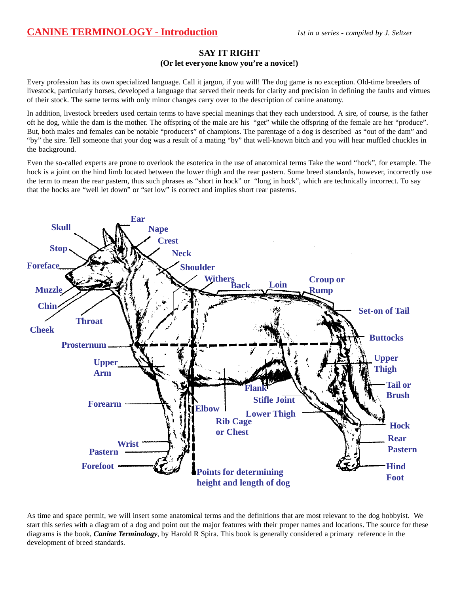## **CANINE TERMINOLOGY - Introduction** *1st in a series - compiled by J. Seltzer*

#### **SAY IT RIGHT (Or let everyone know you're a novice!)**

Every profession has its own specialized language. Call it jargon, if you will! The dog game is no exception. Old-time breeders of livestock, particularly horses, developed a language that served their needs for clarity and precision in defining the faults and virtues of their stock. The same terms with only minor changes carry over to the description of canine anatomy.

In addition, livestock breeders used certain terms to have special meanings that they each understood. A sire, of course, is the father oft he dog, while the dam is the mother. The offspring of the male are his "get" while the offspring of the female are her "produce". But, both males and females can be notable "producers" of champions. The parentage of a dog is described as "out of the dam" and "by" the sire. Tell someone that your dog was a result of a mating "by" that well-known bitch and you will hear muffled chuckles in the background.

Even the so-called experts are prone to overlook the esoterica in the use of anatomical terms Take the word "hock", for example. The hock is a joint on the hind limb located between the lower thigh and the rear pastern. Some breed standards, however, incorrectly use the term to mean the rear pastern, thus such phrases as "short in hock" or "long in hock", which are technically incorrect. To say that the hocks are "well let down" or "set low" is correct and implies short rear pasterns.



As time and space permit, we will insert some anatomical terms and the definitions that are most relevant to the dog hobbyist. We start this series with a diagram of a dog and point out the major features with their proper names and locations. The source for these diagrams is the book, *Canine Terminology*, by Harold R Spira. This book is generally considered a primary reference in the development of breed standards.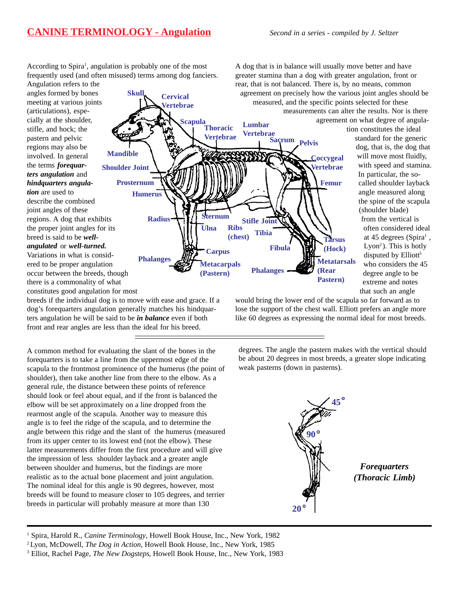## **CANINE TERMINOLOGY - Angulation** *Second in a series - compiled by J. Seltzer*

According to Spira<sup>1</sup>, angulation is probably one of the most frequently used (and often misused) terms among dog fanciers.

**Skull Cervical**

**Phalanges**

**Radius**

**Humerus**

**Prosternum**

**Vertebrae**

**Vertebrae**

**Sternum Ulna**

**Carpus Metacarpals (Pastern)**

**Lumbar Vertebrae**

**Sacrum**

**Phalanges**

**Tibia Stifle Joint**

**Ribs (chest)**

**Fibula**

Angulation refers to the angles formed by bones meeting at various joints (articulations), especially at the shoulder, stifle, and hock; the pastern and pelvic regions may also be involved. In general the terms *forequarters angulation* and *hindquarters angulation* are used to describe the combined joint angles of these regions. A dog that exhibits the proper joint angles for its breed is said to be *wellangulated* or *well-turned.* **Shoulder Joint Mandible**

Variations in what is considered to be proper angulation occur between the breeds, though there is a commonality of what constitutes good angulation for most

breeds if the individual dog is to move with ease and grace. If a dog's forequarters angulation generally matches his hindquarters angulation he will be said to be *in balance* even if both front and rear angles are less than the ideal for his breed.

A common method for evaluating the slant of the bones in the forequarters is to take a line from the uppermost edge of the scapula to the frontmost prominence of the humerus (the point of shoulder), then take another line from there to the elbow. As a general rule, the distance between these points of reference should look or feel about equal, and if the front is balanced the elbow will be set approximately on a line dropped from the rearmost angle of the scapula. Another way to measure this angle is to feel the ridge of the scapula, and to determine the angle between this ridge and the slant of the humerus (measured from its upper center to its lowest end (not the elbow). These latter measurements differ from the first procedure and will give the impression of less shoulder layback and a greater angle between shoulder and humerus, but the findings are more realistic as to the actual bone placement and joint angulation. The nominal ideal for this angle is 90 degrees, however, most breeds will be found to measure closer to 105 degrees, and terrier breeds in particular will probably measure at more than 130

A dog that is in balance will usually move better and have greater stamina than a dog with greater angulation, front or rear, that is not balanced. There is, by no means, common agreement on precisely how the various joint angles should be measured, and the specific points selected for these measurements can alter the results. Nor is there **Scapula**<br>Thoracic

> **Coccygeal Vertebrae**

**Pelvis**

**Femur**

**Tarsus (Hock) Metatarsals (Rear Pastern)**

agreement on what degree of angulation constitutes the ideal standard for the generic dog, that is, the dog that will move most fluidly, with speed and stamina. In particular, the socalled shoulder layback angle measured along the spine of the scapula (shoulder blade) from the vertical is often considered ideal at 45 degrees (Spira<sup>1</sup>, Lyon<sup>2</sup>). This is hotly disputed by Elliott<sup>3</sup> who considers the 45 degree angle to be extreme and notes that such an angle

would bring the lower end of the scapula so far forward as to lose the support of the chest wall. Elliott prefers an angle more like 60 degrees as expressing the normal ideal for most breeds.

degrees. The angle the pastern makes with the vertical should be about 20 degrees in most breeds, a greater slope indicating weak pasterns (down in pasterns).



*Forequarters (Thoracic Limb)*

<sup>1</sup> Spira, Harold R., *Canine Terminology*, Howell Book House, Inc., New York, 1982

2 Lyon, McDowell, *The Dog in Action*, Howell Book House, Inc., New York, 1985

3 Elliot, Rachel Page, *The New Dogsteps*, Howell Book House, Inc., New York, 1983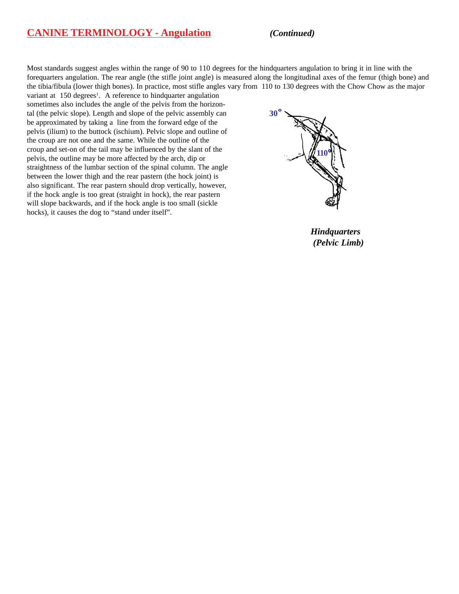#### **CANINE TERMINOLOGY - Angulation** *(Continued)*

Most standards suggest angles within the range of 90 to 110 degrees for the hindquarters angulation to bring it in line with the forequarters angulation. The rear angle (the stifle joint angle) is measured along the longitudinal axes of the femur (thigh bone) and the tibia/fibula (lower thigh bones). In practice, most stifle angles vary from 110 to 130 degrees with the Chow Chow as the major variant at 150 degrees<sup>1</sup>. A reference to hindquarter angulation

sometimes also includes the angle of the pelvis from the horizontal (the pelvic slope). Length and slope of the pelvic assembly can be approximated by taking a line from the forward edge of the pelvis (ilium) to the buttock (ischium). Pelvic slope and outline of the croup are not one and the same. While the outline of the croup and set-on of the tail may be influenced by the slant of the pelvis, the outline may be more affected by the arch, dip or straightness of the lumbar section of the spinal column. The angle between the lower thigh and the rear pastern (the hock joint) is also significant. The rear pastern should drop vertically, however, if the hock angle is too great (straight in hock), the rear pastern will slope backwards, and if the hock angle is too small (sickle hocks), it causes the dog to "stand under itself".



*Hindquarters (Pelvic Limb)*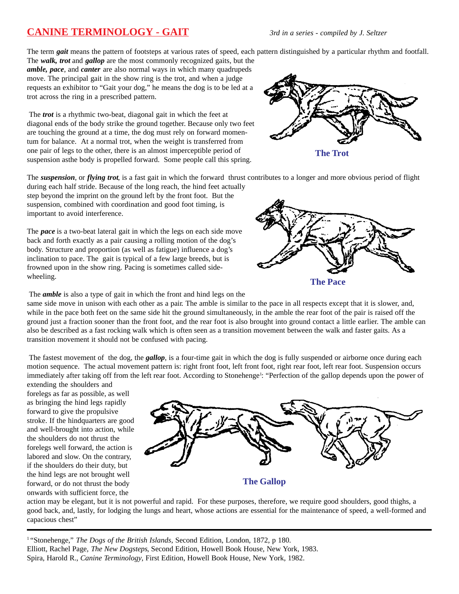# **CANINE TERMINOLOGY - GAIT** *3rd in a series - compiled by J. Seltzer*

The term *gait* means the pattern of footsteps at various rates of speed, each pattern distinguished by a particular rhythm and footfall.

The *walk, trot* and *gallop* are the most commonly recognized gaits, but the *amble, pace*, and *canter* are also normal ways in which many quadrupeds move. The principal gait in the show ring is the trot, and when a judge requests an exhibitor to "Gait your dog," he means the dog is to be led at a trot across the ring in a prescribed pattern.

 The *trot* is a rhythmic two-beat, diagonal gait in which the feet at diagonal ends of the body strike the ground together. Because only two feet are touching the ground at a time, the dog must rely on forward momentum for balance. At a normal trot, when the weight is transferred from one pair of legs to the other, there is an almost imperceptible period of suspension asthe body is propelled forward. Some people call this spring.



**The Trot**

The *suspension*, or *flying trot*, is a fast gait in which the forward thrust contributes to a longer and more obvious period of flight

during each half stride. Because of the long reach, the hind feet actually step beyond the imprint on the ground left by the front foot. But the suspension, combined with coordination and good foot timing, is important to avoid interference.

The *pace* is a two-beat lateral gait in which the legs on each side move back and forth exactly as a pair causing a rolling motion of the dog's body. Structure and proportion (as well as fatigue) influence a dog's inclination to pace. The gait is typical of a few large breeds, but is frowned upon in the show ring. Pacing is sometimes called sidewheeling.

The *amble* is also a type of gait in which the front and hind legs on the

same side move in unison with each other as a pair. The amble is similar to the pace in all respects except that it is slower, and, while in the pace both feet on the same side hit the ground simultaneously, in the amble the rear foot of the pair is raised off the ground just a fraction sooner than the front foot, and the rear foot is also brought into ground contact a little earlier. The amble can also be described as a fast rocking walk which is often seen as a transition movement between the walk and faster gaits. As a transition movement it should not be confused with pacing.

 The fastest movement of the dog, the *gallop*, is a four-time gait in which the dog is fully suspended or airborne once during each motion sequence. The actual movement pattern is: right front foot, left front foot, right rear foot, left rear foot. Suspension occurs immediately after taking off from the left rear foot. According to Stonehenge<sup>1</sup>: "Perfection of the gallop depends upon the power of

extending the shoulders and forelegs as far as possible, as well as bringing the hind legs rapidly forward to give the propulsive stroke. If the hindquarters are good and well-brought into action, while the shoulders do not thrust the forelegs well forward, the action is labored and slow. On the contrary, if the shoulders do their duty, but the hind legs are not brought well forward, or do not thrust the body onwards with sufficient force, the



action may be elegant, but it is not powerful and rapid. For these purposes, therefore, we require good shoulders, good thighs, a good back, and, lastly, for lodging the lungs and heart, whose actions are essential for the maintenance of speed, a well-formed and capacious chest"

1 "Stonehenge," *The Dogs of the British Islands*, Second Edition, London, 1872, p 180. Elliott, Rachel Page, *The New Dogsteps*, Second Edition, Howell Book House, New York, 1983. Spira, Harold R., *Canine Terminology*, First Edition, Howell Book House, New York, 1982.



**The Pace**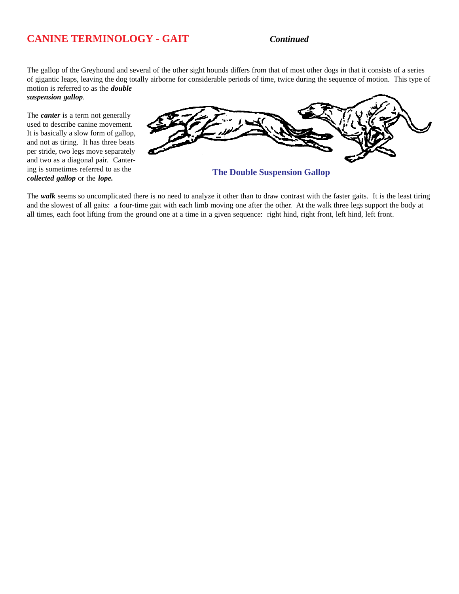# **CANINE TERMINOLOGY - GAIT** *Continued*

The gallop of the Greyhound and several of the other sight hounds differs from that of most other dogs in that it consists of a series of gigantic leaps, leaving the dog totally airborne for considerable periods of time, twice during the sequence of motion. This type of motion is referred to as the *double*

*suspension gallop*.

The *canter* is a term not generally used to describe canine movement. It is basically a slow form of gallop, and not as tiring. It has three beats per stride, two legs move separately and two as a diagonal pair. Cantering is sometimes referred to as the *collected gallop* or the *lope.*



**The Double Suspension Gallop**

The *walk* seems so uncomplicated there is no need to analyze it other than to draw contrast with the faster gaits. It is the least tiring and the slowest of all gaits: a four-time gait with each limb moving one after the other. At the walk three legs support the body at all times, each foot lifting from the ground one at a time in a given sequence: right hind, right front, left hind, left front.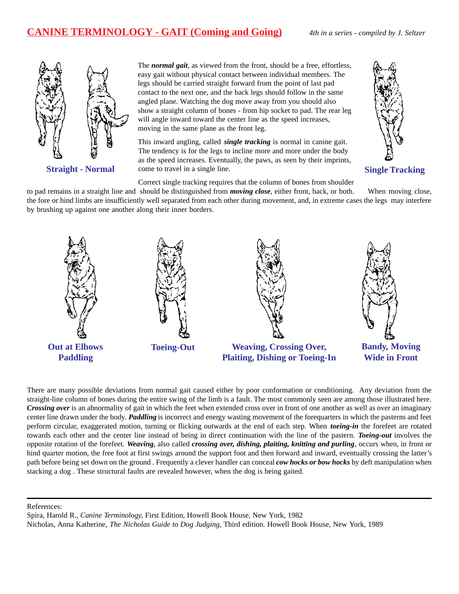## **CANINE TERMINOLOGY - GAIT (Coming and Going)** *4th in a series - compiled by J. Seltzer*



The *normal gait*, as viewed from the front, should be a free, effortless, easy gait without physical contact between individual members. The legs should be carried straight forward from the point of last pad contact to the next one, and the back legs should follow in the same angled plane. Watching the dog move away from you should also show a straight column of bones - from hip socket to pad. The rear leg will angle inward toward the center line as the speed increases, moving in the same plane as the front leg.

This inward angling, called *single tracking* is normal in canine gait. The tendency is for the legs to incline more and more under the body as the speed increases. Eventually, the paws, as seen by their imprints, **Straight - Normal come to travel in a single line.** Single Tracking



Correct single tracking requires that the column of bones from shoulder

to pad remains in a straight line and should be distinguished from *moving close*, either front, back, or both. When moving close, the fore or hind limbs are insufficiently well separated from each other during movement, and, in extreme cases the legs may interfere by brushing up against one another along their inner borders.



There are many possible deviations from normal gait caused either by poor conformation or conditioning. Any deviation from the straight-line column of bones during the entire swing of the limb is a fault. The most commonly seen are among those illustrated here. *Crossing over* is an abnormality of gait in which the feet when extended cross over in front of one another as well as over an imaginary center line drawn under the body. *Paddling* is incorrect and energy wasting movement of the forequarters in which the pasterns and feet perform circular, exaggerated motion, turning or flicking outwards at the end of each step. When *toeing-in* the forefeet are rotated towards each other and the center line instead of being in direct continuation with the line of the pastern. *Toeing-out* involves the opposite rotation of the forefeet. *Weaving*, also called *crossing over, dishing, plaiting, knitting and purling*, occurs when, in front or hind quarter motion, the free foot at first swings around the support foot and then forward and inward, eventually crossing the latter's path before being set down on the ground . Frequently a clever handler can conceal *cow hocks or bow hocks* by deft manipulation when stacking a dog . These structural faults are revealed however, when the dog is being gaited.

References:

Spira, Harold R., *Canine Terminology,* First Edition, Howell Book House, New York, 1982 Nicholas, Anna Katherine, *The Nicholas Guide to Dog Judging,* Third edition. Howell Book House, New York, 1989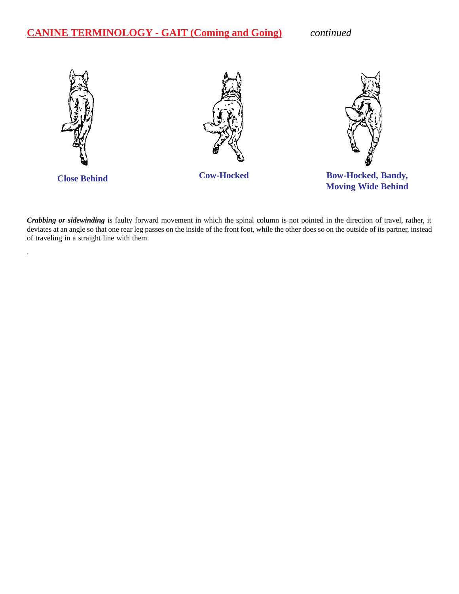# **CANINE TERMINOLOGY - GAIT (Coming and Going)** *continued*

.



*Crabbing or sidewinding* is faulty forward movement in which the spinal column is not pointed in the direction of travel, rather, it deviates at an angle so that one rear leg passes on the inside of the front foot, while the other does so on the outside of its partner, instead of traveling in a straight line with them.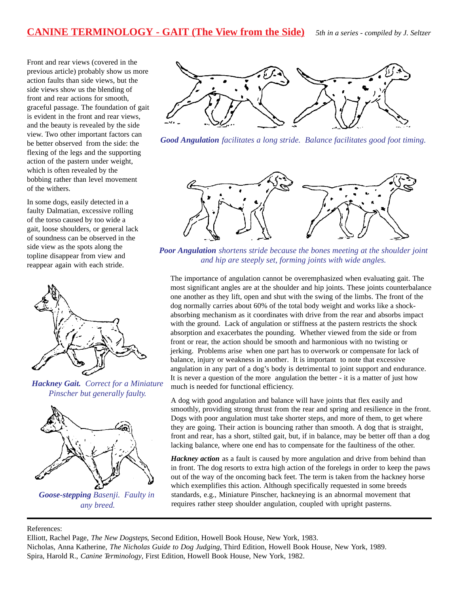Front and rear views (covered in the previous article) probably show us more action faults than side views, but the side views show us the blending of front and rear actions for smooth, graceful passage. The foundation of gait is evident in the front and rear views, and the beauty is revealed by the side view. Two other important factors can be better observed from the side: the flexing of the legs and the supporting action of the pastern under weight, which is often revealed by the bobbing rather than level movement of the withers.

In some dogs, easily detected in a faulty Dalmatian, excessive rolling of the torso caused by too wide a gait, loose shoulders, or general lack of soundness can be observed in the side view as the spots along the topline disappear from view and reappear again with each stride.



*Hackney Gait. Correct for a Miniature Pinscher but generally faulty.*



*Goose-stepping Basenji. Faulty in any breed.*



*Good Angulation facilitates a long stride. Balance facilitates good foot timing.*



*Poor Angulation shortens stride because the bones meeting at the shoulder joint and hip are steeply set, forming joints with wide angles.*

The importance of angulation cannot be overemphasized when evaluating gait. The most significant angles are at the shoulder and hip joints. These joints counterbalance one another as they lift, open and shut with the swing of the limbs. The front of the dog normally carries about 60% of the total body weight and works like a shockabsorbing mechanism as it coordinates with drive from the rear and absorbs impact with the ground. Lack of angulation or stiffness at the pastern restricts the shock absorption and exacerbates the pounding. Whether viewed from the side or from front or rear, the action should be smooth and harmonious with no twisting or jerking. Problems arise when one part has to overwork or compensate for lack of balance, injury or weakness in another. It is important to note that excessive angulation in any part of a dog's body is detrimental to joint support and endurance. It is never a question of the more angulation the better - it is a matter of just how much is needed for functional efficiency.

A dog with good angulation and balance will have joints that flex easily and smoothly, providing strong thrust from the rear and spring and resilience in the front. Dogs with poor angulation must take shorter steps, and more of them, to get where they are going. Their action is bouncing rather than smooth. A dog that is straight, front and rear, has a short, stilted gait, but, if in balance, may be better off than a dog lacking balance, where one end has to compensate for the faultiness of the other.

*Hackney action* as a fault is caused by more angulation and drive from behind than in front. The dog resorts to extra high action of the forelegs in order to keep the paws out of the way of the oncoming back feet. The term is taken from the hackney horse which exemplifies this action. Although specifically requested in some breeds standards, e.g., Miniature Pinscher, hackneying is an abnormal movement that requires rather steep shoulder angulation, coupled with upright pasterns.

References:

Elliott, Rachel Page, *The New Dogsteps*, Second Edition, Howell Book House, New York, 1983.

Nicholas, Anna Katherine, *The Nicholas Guide to Dog Judging,* Third Edition, Howell Book House, New York, 1989. Spira, Harold R., *Canine Terminology,* First Edition, Howell Book House, New York, 1982.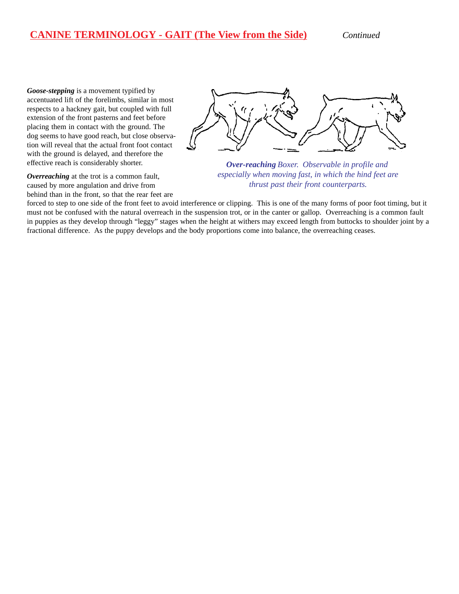## **CANINE TERMINOLOGY - GAIT (The View from the Side)** *Continued*

*Goose-stepping* is a movement typified by accentuated lift of the forelimbs, similar in most respects to a hackney gait, but coupled with full extension of the front pasterns and feet before placing them in contact with the ground. The dog seems to have good reach, but close observation will reveal that the actual front foot contact with the ground is delayed, and therefore the effective reach is considerably shorter.

*Overreaching* at the trot is a common fault, caused by more angulation and drive from behind than in the front, so that the rear feet are



*Over-reaching Boxer. Observable in profile and especially when moving fast, in which the hind feet are thrust past their front counterparts.*

forced to step to one side of the front feet to avoid interference or clipping. This is one of the many forms of poor foot timing, but it must not be confused with the natural overreach in the suspension trot, or in the canter or gallop. Overreaching is a common fault in puppies as they develop through "leggy" stages when the height at withers may exceed length from buttocks to shoulder joint by a fractional difference. As the puppy develops and the body proportions come into balance, the overreaching ceases.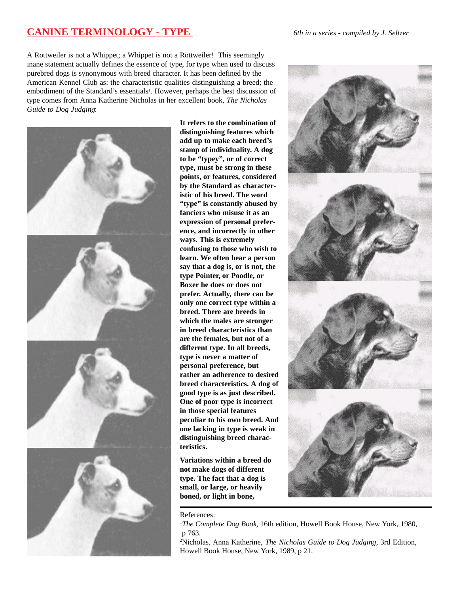## **CANINE TERMINOLOGY - TYPE** *6th in a series - compiled by J. Seltzer*

A Rottweiler is not a Whippet; a Whippet is not a Rottweiler! This seemingly inane statement actually defines the essence of type, for type when used to discuss purebred dogs is synonymous with breed character. It has been defined by the American Kennel Club as: the characteristic qualities distinguishing a breed; the embodiment of the Standard's essentials<sup>1</sup>. However, perhaps the best discussion of type comes from Anna Katherine Nicholas in her excellent book, *The Nicholas Guide to Dog Judging*:



**It refers to the combination of distinguishing features which add up to make each breed's stamp of individuality. A dog to be "typey", or of correct type, must be strong in these points, or features, considered by the Standard as characteristic of his breed. The word "type" is constantly abused by fanciers who misuse it as an expression of personal preference, and incorrectly in other ways. This is extremely confusing to those who wish to learn. We often hear a person say that a dog is, or is not, the type Pointer, or Poodle, or Boxer he does or does not prefer. Actually, there can be only one correct type within a breed. There are breeds in which the males are stronger in breed characteristics than are the females, but not of a different type. In all breeds, type is never a matter of personal preference, but rather an adherence to desired breed characteristics. A dog of good type is as just described. One of poor type is incorrect in those special features peculiar to his own breed. And one lacking in type is weak in distinguishing breed characteristics.**

**Variations within a breed do not make dogs of different type. The fact that a dog is small, or large, or heavily boned, or light in bone,**



#### References:

<sup>1</sup>The Complete Dog Book, 16th edition, Howell Book House, New York, 1980, p 763.

2 Nicholas, Anna Katherine, *The Nicholas Guide to Dog Judging*, 3rd Edition, Howell Book House, New York, 1989, p 21.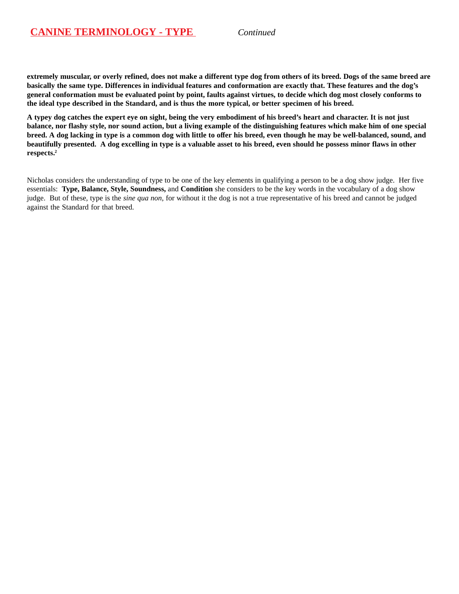**extremely muscular, or overly refined, does not make a different type dog from others of its breed. Dogs of the same breed are basically the same type. Differences in individual features and conformation are exactly that. These features and the dog's general conformation must be evaluated point by point, faults against virtues, to decide which dog most closely conforms to the ideal type described in the Standard, and is thus the more typical, or better specimen of his breed.**

**A typey dog catches the expert eye on sight, being the very embodiment of his breed's heart and character. It is not just balance, nor flashy style, nor sound action, but a living example of the distinguishing features which make him of one special breed. A dog lacking in type is a common dog with little to offer his breed, even though he may be well-balanced, sound, and beautifully presented. A dog excelling in type is a valuable asset to his breed, even should he possess minor flaws in other respects.2**

Nicholas considers the understanding of type to be one of the key elements in qualifying a person to be a dog show judge. Her five essentials: **Type, Balance, Style, Soundness,** and **Condition** she considers to be the key words in the vocabulary of a dog show judge. But of these, type is the *sine qua non*, for without it the dog is not a true representative of his breed and cannot be judged against the Standard for that breed.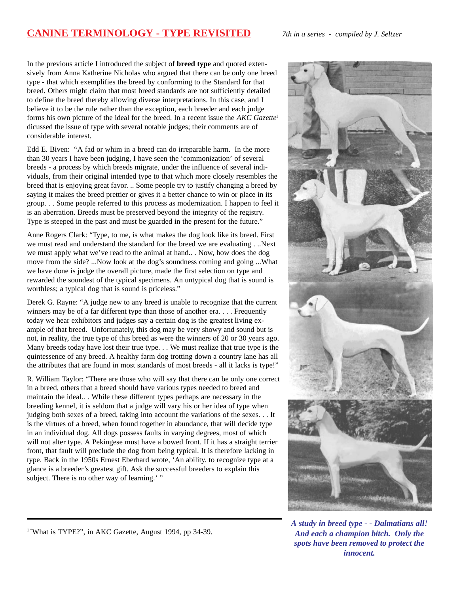## **CANINE TERMINOLOGY - TYPE REVISITED** *7th in a series - compiled by J. Seltzer*

In the previous article I introduced the subject of **breed type** and quoted extensively from Anna Katherine Nicholas who argued that there can be only one breed type - that which exemplifies the breed by conforming to the Standard for that breed. Others might claim that most breed standards are not sufficiently detailed to define the breed thereby allowing diverse interpretations. In this case, and I believe it to be the rule rather than the exception, each breeder and each judge forms his own picture of the ideal for the breed. In a recent issue the *AKC Gazette*<sup>1</sup> dicussed the issue of type with several notable judges; their comments are of considerable interest.

Edd E. Biven: "A fad or whim in a breed can do irreparable harm. In the more than 30 years I have been judging, I have seen the 'commonization' of several breeds - a process by which breeds migrate, under the influence of several individuals, from their original intended type to that which more closely resembles the breed that is enjoying great favor. .. Some people try to justify changing a breed by saying it makes the breed prettier or gives it a better chance to win or place in its group. . . Some people referred to this process as modernization. I happen to feel it is an aberration. Breeds must be preserved beyond the integrity of the registry. Type is steeped in the past and must be guarded in the present for the future."

Anne Rogers Clark: "Type, to me, is what makes the dog look like its breed. First we must read and understand the standard for the breed we are evaluating . ..Next we must apply what we've read to the animal at hand.. . Now, how does the dog move from the side? ...Now look at the dog's soundness coming and going ...What we have done is judge the overall picture, made the first selection on type and rewarded the soundest of the typical specimens. An untypical dog that is sound is worthless; a typical dog that is sound is priceless."

Derek G. Rayne: "A judge new to any breed is unable to recognize that the current winners may be of a far different type than those of another era. . . . Frequently today we hear exhibitors and judges say a certain dog is the greatest living example of that breed. Unfortunately, this dog may be very showy and sound but is not, in reality, the true type of this breed as were the winners of 20 or 30 years ago. Many breeds today have lost their true type. . . We must realize that true type is the quintessence of any breed. A healthy farm dog trotting down a country lane has all the attributes that are found in most standards of most breeds - all it lacks is type!"

R. William Taylor: "There are those who will say that there can be only one correct in a breed, others that a breed should have various types needed to breed and maintain the ideal.. . While these different types perhaps are necessary in the breeding kennel, it is seldom that a judge will vary his or her idea of type when judging both sexes of a breed, taking into account the variations of the sexes. . . It is the virtues of a breed, when found together in abundance, that will decide type in an individual dog. All dogs possess faults in varying degrees, most of which will not alter type. A Pekingese must have a bowed front. If it has a straight terrier front, that fault will preclude the dog from being typical. It is therefore lacking in type. Back in the 1950s Ernest Eberhard wrote, 'An ability. to recognize type at a glance is a breeder's greatest gift. Ask the successful breeders to explain this subject. There is no other way of learning.' "



*A study in breed type - - Dalmatians all! And each a champion bitch. Only the spots have been removed to protect the innocent.*

<sup>1</sup> "What is TYPE?", in AKC Gazette, August 1994, pp 34-39.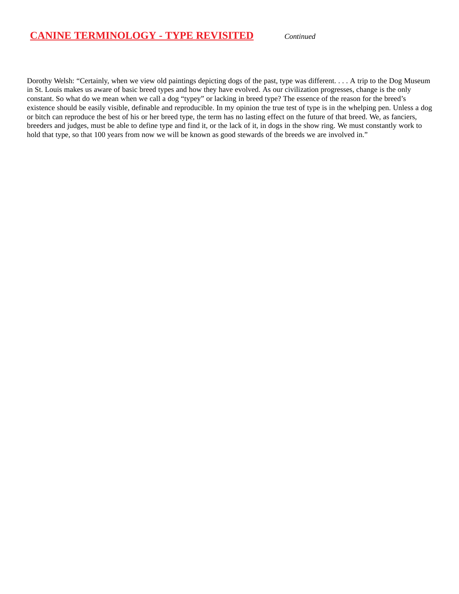## **CANINE TERMINOLOGY - TYPE REVISITED** *Continued*

Dorothy Welsh: "Certainly, when we view old paintings depicting dogs of the past, type was different. . . . A trip to the Dog Museum in St. Louis makes us aware of basic breed types and how they have evolved. As our civilization progresses, change is the only constant. So what do we mean when we call a dog "typey" or lacking in breed type? The essence of the reason for the breed's existence should be easily visible, definable and reproducible. In my opinion the true test of type is in the whelping pen. Unless a dog or bitch can reproduce the best of his or her breed type, the term has no lasting effect on the future of that breed. We, as fanciers, breeders and judges, must be able to define type and find it, or the lack of it, in dogs in the show ring. We must constantly work to hold that type, so that 100 years from now we will be known as good stewards of the breeds we are involved in."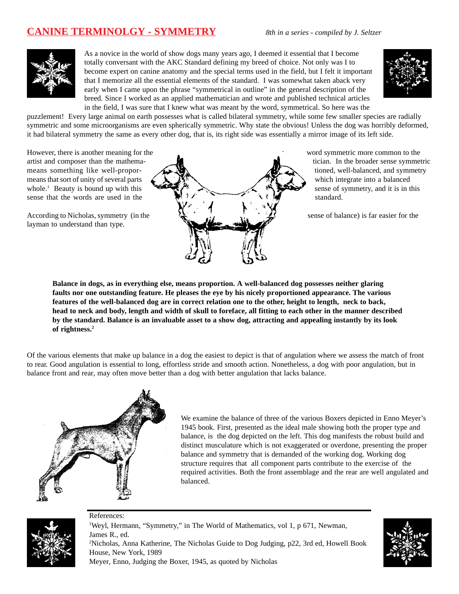# **CANINE TERMINOLGY - SYMMETRY** *8th in a series - compiled by J. Seltzer*



As a novice in the world of show dogs many years ago, I deemed it essential that I become totally conversant with the AKC Standard defining my breed of choice. Not only was I to become expert on canine anatomy and the special terms used in the field, but I felt it important that I memorize all the essential elements of the standard. I was somewhat taken aback very early when I came upon the phrase "symmetrical in outline" in the general description of the breed. Since I worked as an applied mathematician and wrote and published technical articles in the field, I was sure that I knew what was meant by the word, symmetrical. So here was the



puzzlement! Every large animal on earth possesses what is called bilateral symmetry, while some few smaller species are radially symmetric and some microorganisms are even spherically symmetric. Why state the obvious! Unless the dog was horribly deformed, it had bilateral symmetry the same as every other dog, that is, its right side was essentially a mirror image of its left side.

whole. $<sup>1</sup>$  Beauty is bound up with this</sup>

layman to understand than type.



sense of symmetry, and it is in this

**Balance in dogs, as in everything else, means proportion. A well-balanced dog possesses neither glaring faults nor one outstanding feature. He pleases the eye by his nicely proportioned appearance. The various features of the well-balanced dog are in correct relation one to the other, height to length, neck to back, head to neck and body, length and width of skull to foreface, all fitting to each other in the manner described by the standard. Balance is an invaluable asset to a show dog, attracting and appealing instantly by its look of rightness.2**

Of the various elements that make up balance in a dog the easiest to depict is that of angulation where we assess the match of front to rear. Good angulation is essential to long, effortless stride and smooth action. Nonetheless, a dog with poor angulation, but in balance front and rear, may often move better than a dog with better angulation that lacks balance.



References:

We examine the balance of three of the various Boxers depicted in Enno Meyer's 1945 book. First, presented as the ideal male showing both the proper type and balance, is the dog depicted on the left. This dog manifests the robust build and distinct musculature which is not exaggerated or overdone, presenting the proper balance and symmetry that is demanded of the working dog. Working dog structure requires that all component parts contribute to the exercise of the required activities. Both the front assemblage and the rear are well angulated and balanced.



<sup>1</sup>Weyl, Hermann, "Symmetry," in The World of Mathematics, vol 1, p 671, Newman, James R., ed.

2 Nicholas, Anna Katherine, The Nicholas Guide to Dog Judging, p22, 3rd ed, Howell Book House, New York, 1989 Meyer, Enno, Judging the Boxer, 1945, as quoted by Nicholas

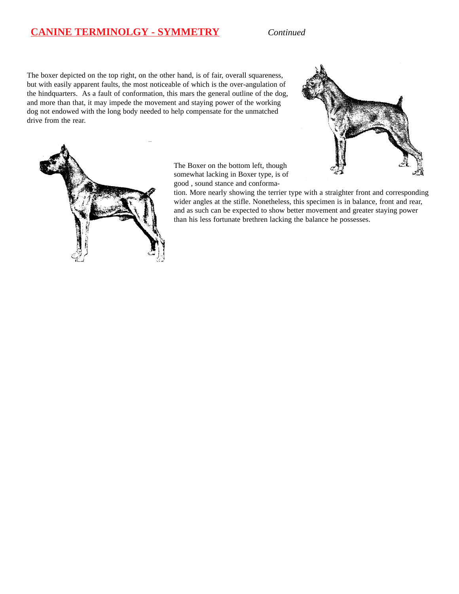## **CANINE TERMINOLGY - SYMMETRY** *Continued*

The boxer depicted on the top right, on the other hand, is of fair, overall squareness, but with easily apparent faults, the most noticeable of which is the over-angulation of the hindquarters. As a fault of conformation, this mars the general outline of the dog, and more than that, it may impede the movement and staying power of the working dog not endowed with the long body needed to help compensate for the unmatched drive from the rear.





The Boxer on the bottom left, though somewhat lacking in Boxer type, is of good , sound stance and conforma-

tion. More nearly showing the terrier type with a straighter front and corresponding wider angles at the stifle. Nonetheless, this specimen is in balance, front and rear, and as such can be expected to show better movement and greater staying power than his less fortunate brethren lacking the balance he possesses.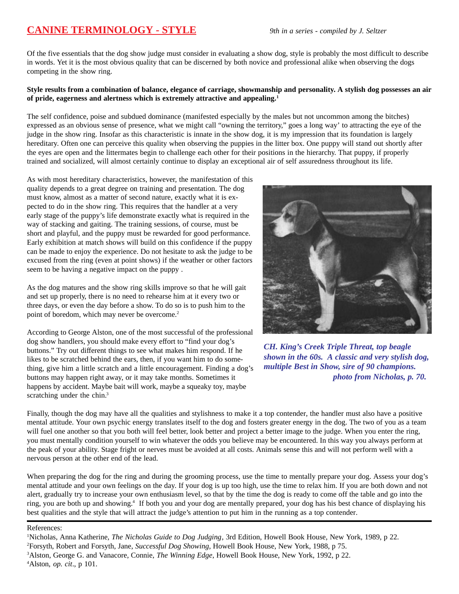# **CANINE TERMINOLOGY - STYLE** *9th in a series - compiled by J. Seltzer*

Of the five essentials that the dog show judge must consider in evaluating a show dog, style is probably the most difficult to describe in words. Yet it is the most obvious quality that can be discerned by both novice and professional alike when observing the dogs competing in the show ring.

#### **Style results from a combination of balance, elegance of carriage, showmanship and personality. A stylish dog possesses an air of pride, eagerness and alertness which is extremely attractive and appealing.1**

The self confidence, poise and subdued dominance (manifested especially by the males but not uncommon among the bitches) expressed as an obvious sense of presence, what we might call "owning the territory," goes a long way' to attracting the eye of the judge in the show ring. Insofar as this characteristic is innate in the show dog, it is my impression that its foundation is largely hereditary. Often one can perceive this quality when observing the puppies in the litter box. One puppy will stand out shortly after the eyes are open and the littermates begin to challenge each other for their positions in the hierarchy. That puppy, if properly trained and socialized, will almost certainly continue to display an exceptional air of self assuredness throughout its life.

As with most hereditary characteristics, however, the manifestation of this quality depends to a great degree on training and presentation. The dog must know, almost as a matter of second nature, exactly what it is expected to do in the show ring. This requires that the handler at a very early stage of the puppy's life demonstrate exactly what is required in the way of stacking and gaiting. The training sessions, of course, must be short and playful, and the puppy must be rewarded for good performance. Early exhibition at match shows will build on this confidence if the puppy can be made to enjoy the experience. Do not hesitate to ask the judge to be excused from the ring (even at point shows) if the weather or other factors seem to be having a negative impact on the puppy .

As the dog matures and the show ring skills improve so that he will gait and set up properly, there is no need to rehearse him at it every two or three days, or even the day before a show. To do so is to push him to the point of boredom, which may never be overcome.<sup>2</sup>

According to George Alston, one of the most successful of the professional dog show handlers, you should make every effort to "find your dog's buttons." Try out different things to see what makes him respond. If he likes to be scratched behind the ears, then, if you want him to do something, give him a little scratch and a little encouragement. Finding a dog's buttons may happen right away, or it may take months. Sometimes it happens by accident. Maybe bait will work, maybe a squeaky toy, maybe scratching under the chin.<sup>3</sup>



*CH. King's Creek Triple Threat, top beagle shown in the 60s. A classic and very stylish dog, multiple Best in Show, sire of 90 champions. photo from Nicholas, p. 70.*

Finally, though the dog may have all the qualities and stylishness to make it a top contender, the handler must also have a positive mental attitude. Your own psychic energy translates itself to the dog and fosters greater energy in the dog. The two of you as a team will fuel one another so that you both will feel better, look better and project a better image to the judge. When you enter the ring, you must mentally condition yourself to win whatever the odds you believe may be encountered. In this way you always perform at the peak of your ability. Stage fright or nerves must be avoided at all costs. Animals sense this and will not perform well with a nervous person at the other end of the lead.

When preparing the dog for the ring and during the grooming process, use the time to mentally prepare your dog. Assess your dog's mental attitude and your own feelings on the day. If your dog is up too high, use the time to relax him. If you are both down and not alert, gradually try to increase your own enthusiasm level, so that by the time the dog is ready to come off the table and go into the ring, you are both up and showing.<sup>4</sup> If both you and your dog are mentally prepared, your dog has his best chance of displaying his best qualities and the style that will attract the judge's attention to put him in the running as a top contender.

#### References:

<sup>1</sup> Nicholas, Anna Katherine, *The Nicholas Guide to Dog Judging*, 3rd Edition, Howell Book House, New York, 1989, p 22. 2 Forsyth, Robert and Forsyth, Jane, *Successful Dog Showing*, Howell Book House, New York, 1988, p 75. 3 Alston, George G. and Vanacore, Connie, *The Winning Edge*, Howell Book House, New York, 1992, p 22. 4 Alston, *op. cit*., p 101.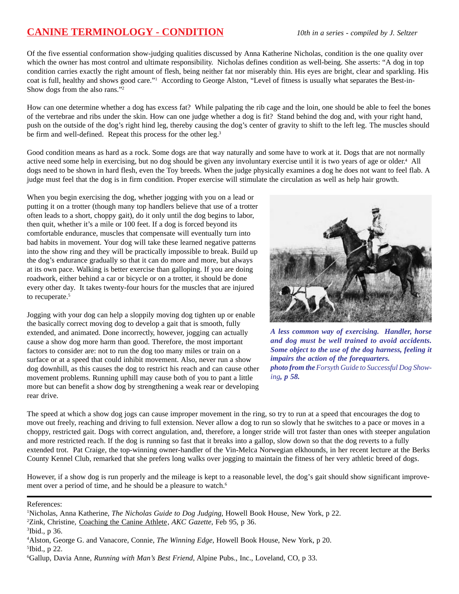# **CANINE TERMINOLOGY - CONDITION** *10th in a series - compiled by J. Seltzer*

Of the five essential conformation show-judging qualities discussed by Anna Katherine Nicholas, condition is the one quality over which the owner has most control and ultimate responsibility. Nicholas defines condition as well-being. She asserts: "A dog in top condition carries exactly the right amount of flesh, being neither fat nor miserably thin. His eyes are bright, clear and sparkling. His coat is full, healthy and shows good care."<sup>1</sup> According to George Alston, "Level of fitness is usually what separates the Best-in-Show dogs from the also rans."2

How can one determine whether a dog has excess fat? While palpating the rib cage and the loin, one should be able to feel the bones of the vertebrae and ribs under the skin. How can one judge whether a dog is fit? Stand behind the dog and, with your right hand, push on the outside of the dog's right hind leg, thereby causing the dog's center of gravity to shift to the left leg. The muscles should be firm and well-defined. Repeat this process for the other leg.<sup>3</sup>

Good condition means as hard as a rock. Some dogs are that way naturally and some have to work at it. Dogs that are not normally active need some help in exercising, but no dog should be given any involuntary exercise until it is two years of age or older.4 All dogs need to be shown in hard flesh, even the Toy breeds. When the judge physically examines a dog he does not want to feel flab. A judge must feel that the dog is in firm condition. Proper exercise will stimulate the circulation as well as help hair growth.

When you begin exercising the dog, whether jogging with you on a lead or putting it on a trotter (though many top handlers believe that use of a trotter often leads to a short, choppy gait), do it only until the dog begins to labor, then quit, whether it's a mile or 100 feet. If a dog is forced beyond its comfortable endurance, muscles that compensate will eventually turn into bad habits in movement. Your dog will take these learned negative patterns into the show ring and they will be practically impossible to break. Build up the dog's endurance gradually so that it can do more and more, but always at its own pace. Walking is better exercise than galloping. If you are doing roadwork, either behind a car or bicycle or on a trotter, it should be done every other day. It takes twenty-four hours for the muscles that are injured to recuperate.<sup>5</sup>

Jogging with your dog can help a sloppily moving dog tighten up or enable the basically correct moving dog to develop a gait that is smooth, fully extended, and animated. Done incorrectly, however, jogging can actually cause a show dog more harm than good. Therefore, the most important factors to consider are: not to run the dog too many miles or train on a surface or at a speed that could inhibit movement. Also, never run a show dog downhill, as this causes the dog to restrict his reach and can cause other movement problems. Running uphill may cause both of you to pant a little more but can benefit a show dog by strengthening a weak rear or developing rear drive.



*A less common way of exercising. Handler, horse and dog must be well trained to avoid accidents. Some object to the use of the dog harness, feeling it impairs the action of the forequarters. photo from the Forsyth Guide to Successful Dog Showing, p 58.*

The speed at which a show dog jogs can cause improper movement in the ring, so try to run at a speed that encourages the dog to move out freely, reaching and driving to full extension. Never allow a dog to run so slowly that he switches to a pace or moves in a choppy, restricted gait. Dogs with correct angulation, and, therefore, a longer stride will trot faster than ones with steeper angulation and more restricted reach. If the dog is running so fast that it breaks into a gallop, slow down so that the dog reverts to a fully extended trot. Pat Craige, the top-winning owner-handler of the Vin-Melca Norwegian elkhounds, in her recent lecture at the Berks County Kennel Club, remarked that she prefers long walks over jogging to maintain the fitness of her very athletic breed of dogs.

However, if a show dog is run properly and the mileage is kept to a reasonable level, the dog's gait should show significant improvement over a period of time, and he should be a pleasure to watch.<sup>6</sup>

References:

<sup>1</sup> Nicholas, Anna Katherine, *The Nicholas Guide to Dog Judging*, Howell Book House, New York, p 22.

<sup>2</sup> Zink, Christine, Coaching the Canine Athlete, *AKC Gazette*, Feb 95, p 36.

<sup>3</sup> Ibid., p 36.

<sup>4</sup> Alston, George G. and Vanacore, Connie, *The Winning Edge*, Howell Book House, New York, p 20. 5 Ibid., p 22.

<sup>6</sup> Gallup, Davia Anne, *Running with Man's Best Friend,* Alpine Pubs., Inc., Loveland, CO, p 33.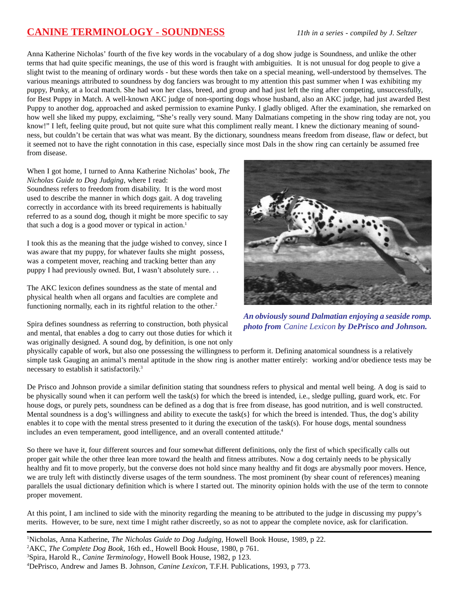# **CANINE TERMINOLOGY - SOUNDNESS** *11th in a series - compiled by J. Seltzer*

Anna Katherine Nicholas' fourth of the five key words in the vocabulary of a dog show judge is Soundness, and unlike the other terms that had quite specific meanings, the use of this word is fraught with ambiguities. It is not unusual for dog people to give a slight twist to the meaning of ordinary words - but these words then take on a special meaning, well-understood by themselves. The various meanings attributed to soundness by dog fanciers was brought to my attention this past summer when I was exhibiting my puppy, Punky, at a local match. She had won her class, breed, and group and had just left the ring after competing, unsuccessfully, for Best Puppy in Match. A well-known AKC judge of non-sporting dogs whose husband, also an AKC judge, had just awarded Best Puppy to another dog, approached and asked permission to examine Punky. I gladly obliged. After the examination, she remarked on how well she liked my puppy, exclaiming, "She's really very sound. Many Dalmatians competing in the show ring today are not, you know!" I left, feeling quite proud, but not quite sure what this compliment really meant. I knew the dictionary meaning of soundness, but couldn't be certain that was what was meant. By the dictionary, soundness means freedom from disease, flaw or defect, but it seemed not to have the right connotation in this case, especially since most Dals in the show ring can certainly be assumed free from disease.

When I got home, I turned to Anna Katherine Nicholas' book, *The Nicholas Guide to Dog Judging*, where I read:

Soundness refers to freedom from disability. It is the word most used to describe the manner in which dogs gait. A dog traveling correctly in accordance with its breed requirements is habitually referred to as a sound dog, though it might be more specific to say that such a dog is a good mover or typical in action. $<sup>1</sup>$ </sup>

I took this as the meaning that the judge wished to convey, since I was aware that my puppy, for whatever faults she might possess, was a competent mover, reaching and tracking better than any puppy I had previously owned. But, I wasn't absolutely sure. . .

The AKC lexicon defines soundness as the state of mental and physical health when all organs and faculties are complete and functioning normally, each in its rightful relation to the other.<sup>2</sup>

Spira defines soundness as referring to construction, both physical and mental, that enables a dog to carry out those duties for which it was originally designed. A sound dog, by definition, is one not only



*An obviously sound Dalmatian enjoying a seaside romp. photo from Canine Lexicon by DePrisco and Johnson.*

physically capable of work, but also one possessing the willingness to perform it. Defining anatomical soundness is a relatively simple task Gauging an animal's mental aptitude in the show ring is another matter entirely: working and/or obedience tests may be necessary to establish it satisfactorily.3

De Prisco and Johnson provide a similar definition stating that soundness refers to physical and mental well being. A dog is said to be physically sound when it can perform well the task(s) for which the breed is intended, i.e., sledge pulling, guard work, etc. For house dogs, or purely pets, soundness can be defined as a dog that is free from disease, has good nutrition, and is well constructed. Mental soundness is a dog's willingness and ability to execute the task(s) for which the breed is intended. Thus, the dog's ability enables it to cope with the mental stress presented to it during the execution of the task(s). For house dogs, mental soundness includes an even temperament, good intelligence, and an overall contented attitude.<sup>4</sup>

So there we have it, four different sources and four somewhat different definitions, only the first of which specifically calls out proper gait while the other three lean more toward the health and fitness attributes. Now a dog certainly needs to be physically healthy and fit to move properly, but the converse does not hold since many healthy and fit dogs are abysmally poor movers. Hence, we are truly left with distinctly diverse usages of the term soundness. The most prominent (by shear count of references) meaning parallels the usual dictionary definition which is where I started out. The minority opinion holds with the use of the term to connote proper movement.

At this point, I am inclined to side with the minority regarding the meaning to be attributed to the judge in discussing my puppy's merits. However, to be sure, next time I might rather discreetly, so as not to appear the complete novice, ask for clarification.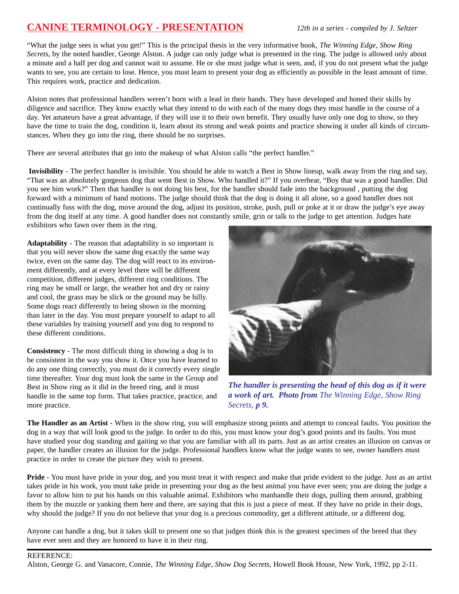# **CANINE TERMINOLOGY - PRESENTATION** *12th in a series - compiled by J. Seltzer*

"What the judge sees is what you get!" This is the principal thesis in the very informative book, *The Winning Edge, Show Ring Secrets*, by the noted handler, George Alston. A judge can only judge what is presented in the ring. The judge is allowed only about a minute and a half per dog and cannot wait to assume. He or she must judge what is seen, and, if you do not present what the judge wants to see, you are certain to lose. Hence, you must learn to present your dog as efficiently as possible in the least amount of time. This requires work, practice and dedication.

Alston notes that professional handlers weren't born with a lead in their hands. They have developed and honed their skills by diligence and sacrifice. They know exactly what they intend to do with each of the many dogs they must handle in the course of a day. Yet amateurs have a great advantage, if they will use it to their own benefit. They usually have only one dog to show, so they have the time to train the dog, condition it, learn about its strong and weak points and practice showing it under all kinds of circumstances. When they go into the ring, there should be no surprises.

There are several attributes that go into the makeup of what Alston calls "the perfect handler."

**Invisibility** - The perfect handler is invisible. You should be able to watch a Best in Show lineup, walk away from the ring and say, "That was an absolutely gorgeous dog that went Best in Show. Who handled it?" If you overhear, "Boy that was a good handler. Did you see him work?" Then that handler is not doing his best, for the handler should fade into the background , putting the dog forward with a minimum of hand motions. The judge should think that the dog is doing it all alone, so a good handler does not continually fuss with the dog, move around the dog, adjust its position, stroke, push, pull or poke at it or draw the judge's eye away from the dog itself at any time. A good handler does not constantly smile, grin or talk to the judge to get attention. Judges hate exhibitors who fawn over them in the ring.

**Adaptability** - The reason that adaptability is so important is that you will never show the same dog exactly the same way twice, even on the same day. The dog will react to its environment differently, and at every level there will be different competition, different judges, different ring conditions. The ring may be small or large, the weather hot and dry or rainy and cool, the grass may be slick or the ground may be hilly. Some dogs react differently to being shown in the morning than later in the day. You must prepare yourself to adapt to all these variables by training yourself and you dog to respond to these different conditions.

**Consistency** - The most difficult thing in showing a dog is to be consistent in the way you show it. Once you have learned to do any one thing correctly, you must do it correctly every single time thereafter. Your dog must look the same in the Group and Best in Show ring as it did in the breed ring, and it must handle in the same top form. That takes practice, practice, and more practice.



*The handler is presenting the head of this dog as if it were a work of art. Photo from The Winning Edge, Show Ring Secrets, p 9.*

**The Handler as an Artist** - When in the show ring, you will emphasize strong points and attempt to conceal faults. You position the dog in a way that will look good to the judge. In order to do this, you must know your dog's good points and its faults. You must have studied your dog standing and gaiting so that you are familiar with all its parts. Just as an artist creates an illusion on canvas or paper, the handler creates an illusion for the judge. Professional handlers know what the judge wants to see, owner handlers must practice in order to create the picture they wish to present.

**Pride** - You must have pride in your dog, and you must treat it with respect and make that pride evident to the judge. Just as an artist takes pride in his work, you must take pride in presenting your dog as the best animal you have ever seen; you are doing the judge a favor to allow him to put his hands on this valuable animal. Exhibitors who manhandle their dogs, pulling them around, grabbing them by the muzzle or yanking them here and there, are saying that this is just a piece of meat. If they have no pride in their dogs, why should the judge? If you do not believe that your dog is a precious commodity, get a different attitude, or a different dog.

Anyone can handle a dog, but it takes skill to present one so that judges think this is the greatest specimen of the breed that they have ever seen and they are honored to have it in their ring.

#### REFERENCE:

Alston, George G. and Vanacore, Connie, *The Winning Edge, Show Dog Secrets*, Howell Book House, New York, 1992, pp 2-11.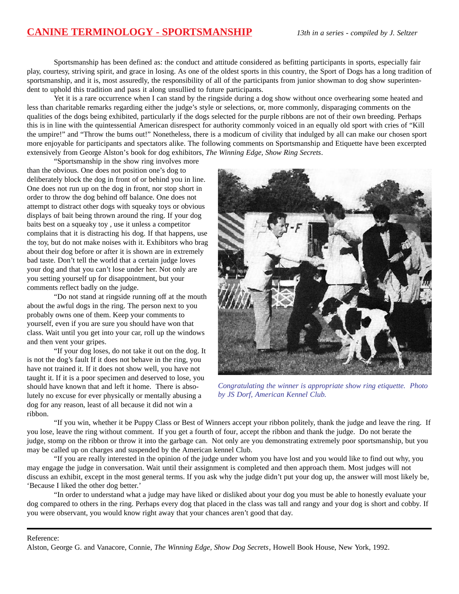# **CANINE TERMINOLOGY - SPORTSMANSHIP** *13th in a series - compiled by J. Seltzer*

Sportsmanship has been defined as: the conduct and attitude considered as befitting participants in sports, especially fair play, courtesy, striving spirit, and grace in losing. As one of the oldest sports in this country, the Sport of Dogs has a long tradition of sportsmanship, and it is, most assuredly, the responsibility of all of the participants from junior showman to dog show superintendent to uphold this tradition and pass it along unsullied to future participants.

Yet it is a rare occurrence when I can stand by the ringside during a dog show without once overhearing some heated and less than charitable remarks regarding either the judge's style or selections, or, more commonly, disparaging comments on the qualities of the dogs being exhibited, particularly if the dogs selected for the purple ribbons are not of their own breeding. Perhaps this is in line with the quintessential American disrespect for authority commonly voiced in an equally old sport with cries of "Kill the umpire!" and "Throw the bums out!" Nonetheless, there is a modicum of civility that indulged by all can make our chosen sport more enjoyable for participants and spectators alike. The following comments on Sportsmanship and Etiquette have been excerpted extensively from George Alston's book for dog exhibitors, *The Winning Edge, Show Ring Secrets*.

"Sportsmanship in the show ring involves more than the obvious. One does not position one's dog to deliberately block the dog in front of or behind you in line. One does not run up on the dog in front, nor stop short in order to throw the dog behind off balance. One does not attempt to distract other dogs with squeaky toys or obvious displays of bait being thrown around the ring. If your dog baits best on a squeaky toy , use it unless a competitor complains that it is distracting his dog. If that happens, use the toy, but do not make noises with it. Exhibitors who brag about their dog before or after it is shown are in extremely bad taste. Don't tell the world that a certain judge loves your dog and that you can't lose under her. Not only are you setting yourself up for disappointment, but your comments reflect badly on the judge.

"Do not stand at ringside running off at the mouth about the awful dogs in the ring. The person next to you probably owns one of them. Keep your comments to yourself, even if you are sure you should have won that class. Wait until you get into your car, roll up the windows and then vent your gripes.

"If your dog loses, do not take it out on the dog. It is not the dog's fault If it does not behave in the ring, you have not trained it. If it does not show well, you have not taught it. If it is a poor specimen and deserved to lose, you should have known that and left it home. There is absolutely no excuse for ever physically or mentally abusing a dog for any reason, least of all because it did not win a ribbon.



*Congratulating the winner is appropriate show ring etiquette. Photo by JS Dorf, American Kennel Club.*

"If you win, whether it be Puppy Class or Best of Winners accept your ribbon politely, thank the judge and leave the ring. If you lose, leave the ring without comment. If you get a fourth of four, accept the ribbon and thank the judge. Do not berate the judge, stomp on the ribbon or throw it into the garbage can. Not only are you demonstrating extremely poor sportsmanship, but you may be called up on charges and suspended by the American kennel Club.

"If you are really interested in the opinion of the judge under whom you have lost and you would like to find out why, you may engage the judge in conversation. Wait until their assignment is completed and then approach them. Most judges will not discuss an exhibit, except in the most general terms. If you ask why the judge didn't put your dog up, the answer will most likely be, 'Because I liked the other dog better.'

"In order to understand what a judge may have liked or disliked about your dog you must be able to honestly evaluate your dog compared to others in the ring. Perhaps every dog that placed in the class was tall and rangy and your dog is short and cobby. If you were observant, you would know right away that your chances aren't good that day.

#### Reference:

Alston, George G. and Vanacore, Connie, *The Winning Edge, Show Dog Secrets*, Howell Book House, New York, 1992.